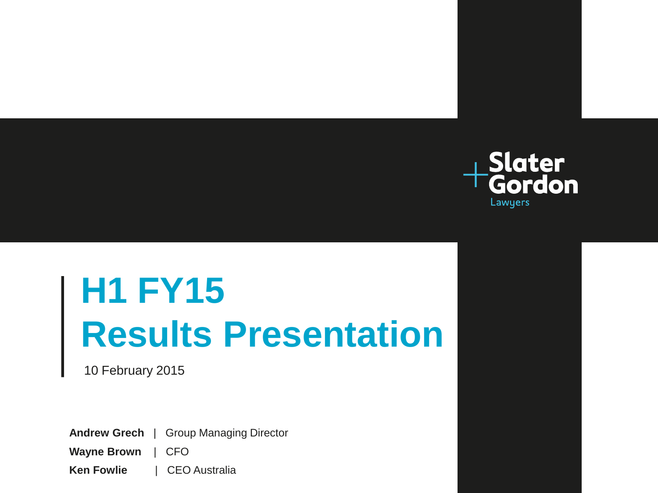

# **H1 FY15 Results Presentation**

10 February 2015

**Andrew Grech** | Group Managing Director

**Wayne Brown** | CFO

**Ken Fowlie | CEO Australia**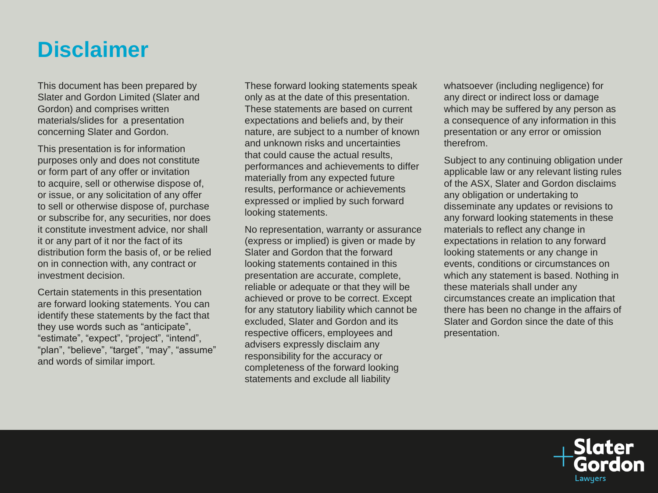### **Disclaimer**

This document has been prepared by Slater and Gordon Limited (Slater and Gordon) and comprises written materials/slides for a presentation concerning Slater and Gordon.

This presentation is for information purposes only and does not constitute or form part of any offer or invitation to acquire, sell or otherwise dispose of, or issue, or any solicitation of any offer to sell or otherwise dispose of, purchase or subscribe for, any securities, nor does it constitute investment advice, nor shall it or any part of it nor the fact of its distribution form the basis of, or be relied on in connection with, any contract or investment decision.

Certain statements in this presentation are forward looking statements. You can identify these statements by the fact that they use words such as "anticipate", "estimate", "expect", "project", "intend", "plan", "believe", "target", "may", "assume" and words of similar import.

These forward looking statements speak only as at the date of this presentation. These statements are based on current expectations and beliefs and, by their nature, are subject to a number of known and unknown risks and uncertainties that could cause the actual results, performances and achievements to differ materially from any expected future results, performance or achievements expressed or implied by such forward looking statements.

No representation, warranty or assurance (express or implied) is given or made by Slater and Gordon that the forward looking statements contained in this presentation are accurate, complete, reliable or adequate or that they will be achieved or prove to be correct. Except for any statutory liability which cannot be excluded, Slater and Gordon and its respective officers, employees and advisers expressly disclaim any responsibility for the accuracy or completeness of the forward looking statements and exclude all liability

whatsoever (including negligence) for any direct or indirect loss or damage which may be suffered by any person as a consequence of any information in this presentation or any error or omission therefrom.

Subject to any continuing obligation under applicable law or any relevant listing rules of the ASX, Slater and Gordon disclaims any obligation or undertaking to disseminate any updates or revisions to any forward looking statements in these materials to reflect any change in expectations in relation to any forward looking statements or any change in events, conditions or circumstances on which any statement is based. Nothing in these materials shall under any circumstances create an implication that there has been no change in the affairs of Slater and Gordon since the date of this presentation.

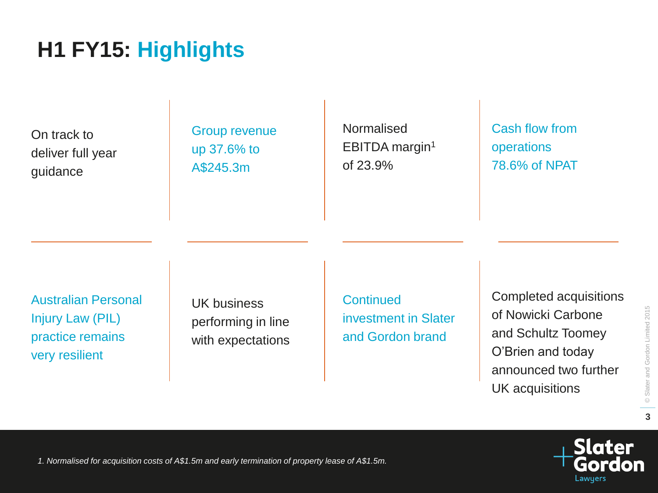**3**

# **H1 FY15: Highlights**

On track to deliver full year guidance

Group revenue up 37.6% to A\$245.3m

Normalised EBITDA margin<sup>1</sup> of 23.9%

Cash flow from operations 78.6% of NPAT

Australian Personal Injury Law (PIL) practice remains very resilient

UK business performing in line with expectations **Continued** investment in Slater and Gordon brand

Completed acquisitions of Nowicki Carbone and Schultz Toomey O'Brien and today announced two further UK acquisitions

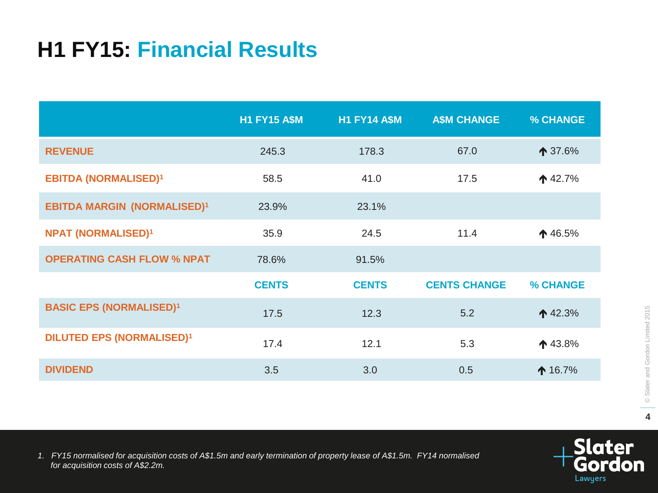# **H1 FY15: Financial Results**

|                                    | <b>H1 FY15 A\$M</b> | <b>H1 FY14 A\$M</b> | <b>A\$M CHANGE</b>  | % CHANGE           |
|------------------------------------|---------------------|---------------------|---------------------|--------------------|
| <b>REVENUE</b>                     | 245.3               | 178.3               | 67.0                | $\bigwedge$ 37.6%  |
| <b>EBITDA (NORMALISED)1</b>        | 58.5                | 41.0                | 17.5                | $\spadesuit$ 42.7% |
| <b>EBITDA MARGIN (NORMALISED)1</b> | 23.9%               | 23.1%               |                     |                    |
| <b>NPAT (NORMALISED)1</b>          | 35.9                | 24.5                | 11.4                | ↑46.5%             |
| <b>OPERATING CASH FLOW % NPAT</b>  | 78.6%               | 91.5%               |                     |                    |
|                                    | <b>CENTS</b>        | <b>CENTS</b>        | <b>CENTS CHANGE</b> | % CHANGE           |
| <b>BASIC EPS (NORMALISED)1</b>     | 17.5                | 12.3                | 5.2                 | $\spadesuit$ 42.3% |
| <b>DILUTED EPS (NORMALISED)1</b>   | 17.4                | 12.1                | 5.3                 | ↑43.8%             |
| <b>DIVIDEND</b>                    | 3.5                 | 3.0                 | 0.5                 | $\spadesuit$ 16.7% |



*1. FY15 normalised for acquisition costs of A\$1.5m and early termination of property lease of A\$1.5m. FY14 normalised for acquisition costs of A\$2.2m.*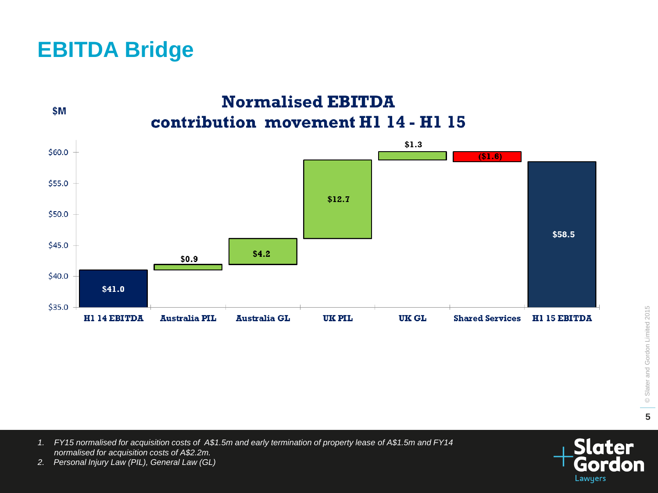### **EBITDA Bridge**

\$M

**Normalised EBITDA** contribution movement H1 14 - H1 15



© Slater and Gordon Limited 2015 © Slater and Gordon Limited 2015 **5**

*1. FY15 normalised for acquisition costs of A\$1.5m and early termination of property lease of A\$1.5m and FY14 normalised for acquisition costs of A\$2.2m.*



*2. Personal Injury Law (PIL), General Law (GL)*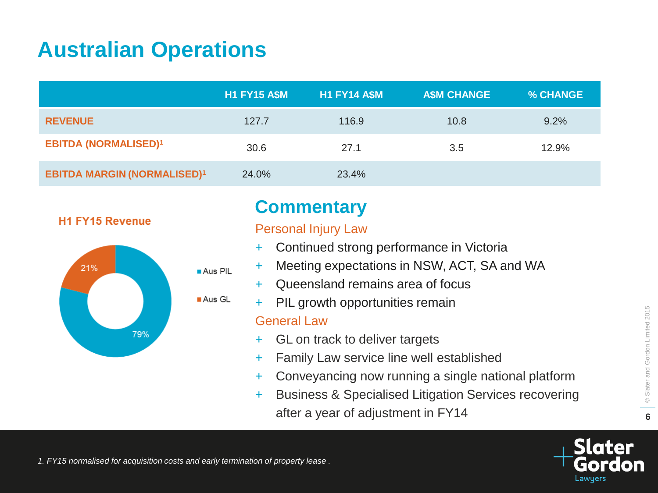### **Australian Operations**

|                                    | <b>H1 FY15 A\$M</b> | <b>H1 FY14 A\$M</b> | <b>A\$M CHANGE</b> | % CHANGE |
|------------------------------------|---------------------|---------------------|--------------------|----------|
| <b>REVENUE</b>                     | 127.7               | 116.9               | 10.8               | 9.2%     |
| <b>EBITDA (NORMALISED)1</b>        | 30.6                | 27.1                | 3.5                | 12.9%    |
| <b>EBITDA MARGIN (NORMALISED)1</b> | 24.0%               | 23.4%               |                    |          |

#### **H1 FY15 Revenue**



### **Commentary**

#### Personal Injury Law

- + Continued strong performance in Victoria
- + Meeting expectations in NSW, ACT, SA and WA
- Queensland remains area of focus
- PIL growth opportunities remain

#### General Law

- + GL on track to deliver targets
- + Family Law service line well established
- + Conveyancing now running a single national platform
- + Business & Specialised Litigation Services recovering after a year of adjustment in FY14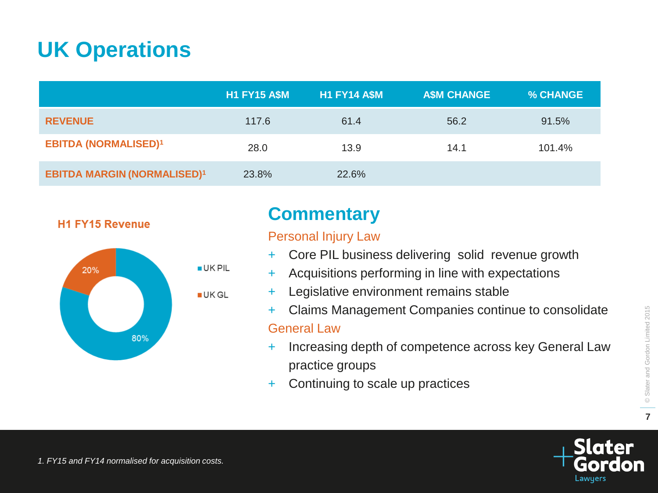### **UK Operations**

|                                    | <b>H1 FY15 A\$M</b> | <b>H1 FY14 A\$M</b> | <b>A\$M CHANGE</b> | % CHANGE |
|------------------------------------|---------------------|---------------------|--------------------|----------|
| <b>REVENUE</b>                     | 117.6               | 61.4                | 56.2               | 91.5%    |
| <b>EBITDA (NORMALISED)1</b>        | 28.0                | 13.9                | 14.1               | 101.4%   |
| <b>EBITDA MARGIN (NORMALISED)1</b> | 23.8%               | 22.6%               |                    |          |

#### **H1 FY15 Revenue**



### **Commentary**

#### Personal Injury Law

- + Core PIL business delivering solid revenue growth
- Acquisitions performing in line with expectations
- + Legislative environment remains stable
- + Claims Management Companies continue to consolidate General Law

### + Increasing depth of competence across key General Law practice groups

+ Continuing to scale up practices

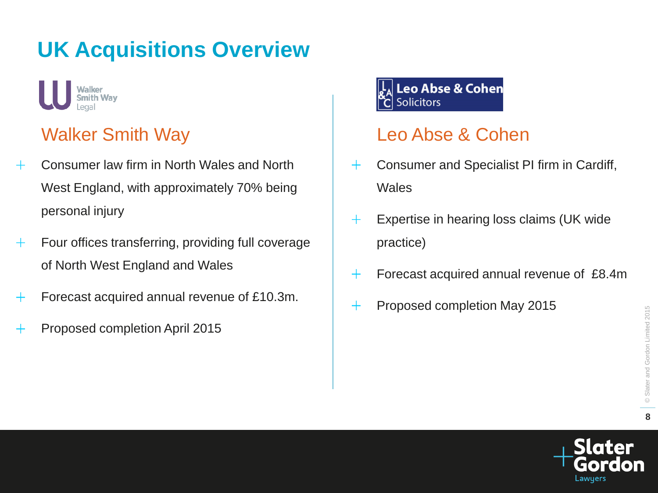# **UK Acquisitions Overview**



### Walker Smith Way

- Consumer law firm in North Wales and North  $+$ West England, with approximately 70% being personal injury
- Four offices transferring, providing full coverage  $+$ of North West England and Wales
- Forecast acquired annual revenue of £10.3m.  $\pm$
- Proposed completion April 2015 ┿

#### Leo Abse & Cohen **Solicitors**

### Leo Abse & Cohen

- Consumer and Specialist PI firm in Cardiff,  $+$ **Wales**
- $+$ Expertise in hearing loss claims (UK wide practice)
- Forecast acquired annual revenue of £8.4m  $+$
- Proposed completion May 2015 $^{+}$

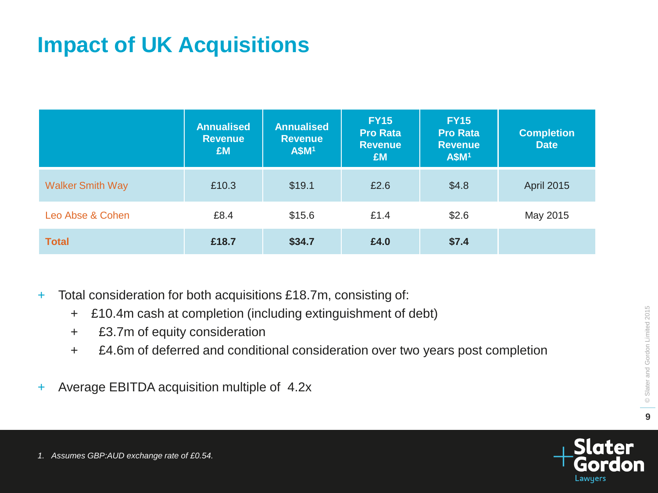## **Impact of UK Acquisitions**

|                         | <b>Annualised</b><br><b>Revenue</b><br><b>£M</b> | <b>Annualised</b><br><b>Revenue</b><br><b>A\$M1</b> | <b>FY15</b><br><b>Pro Rata</b><br><b>Revenue</b><br>£M | <b>FY15</b><br><b>Pro Rata</b><br><b>Revenue</b><br><b>A\$M1</b> | <b>Completion</b><br><b>Date</b> |
|-------------------------|--------------------------------------------------|-----------------------------------------------------|--------------------------------------------------------|------------------------------------------------------------------|----------------------------------|
| <b>Walker Smith Way</b> | £10.3                                            | \$19.1                                              | £2.6                                                   | \$4.8                                                            | <b>April 2015</b>                |
| Leo Abse & Cohen        | £8.4                                             | \$15.6                                              | £1.4                                                   | \$2.6                                                            | May 2015                         |
| <b>Total</b>            | £18.7                                            | \$34.7                                              | £4.0                                                   | \$7.4                                                            |                                  |

- + Total consideration for both acquisitions £18.7m, consisting of:
	- + £10.4m cash at completion (including extinguishment of debt)
	- + £3.7m of equity consideration
	- + £4.6m of deferred and conditional consideration over two years post completion
- + Average EBITDA acquisition multiple of 4.2x

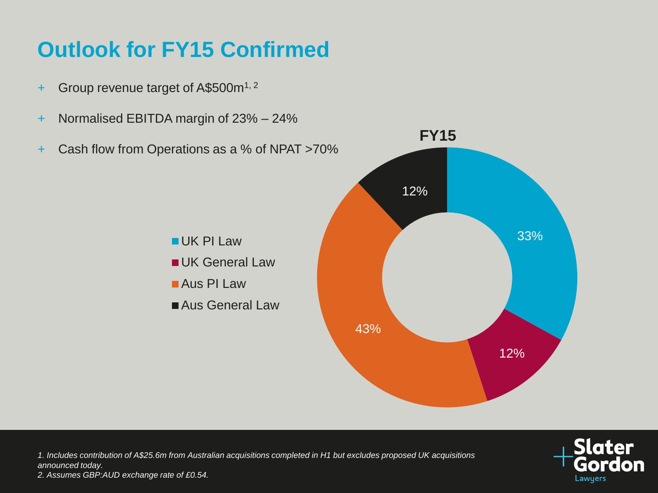## **Outlook for FY15 Confirmed**

- + Group revenue target of A\$500m1, 2
- + Normalised EBITDA margin of 23% 24%
- + Cash flow from Operations as a % of NPAT >70% 33% 12% 43% 12% **FY15** UK PI Law **UK General Law** Aus PI Law ■Aus General Law

*1. Includes contribution of A\$25.6m from Australian acquisitions completed in H1 but excludes proposed UK acquisitions announced today. 2. Assumes GBP:AUD exchange rate of £0.54.*

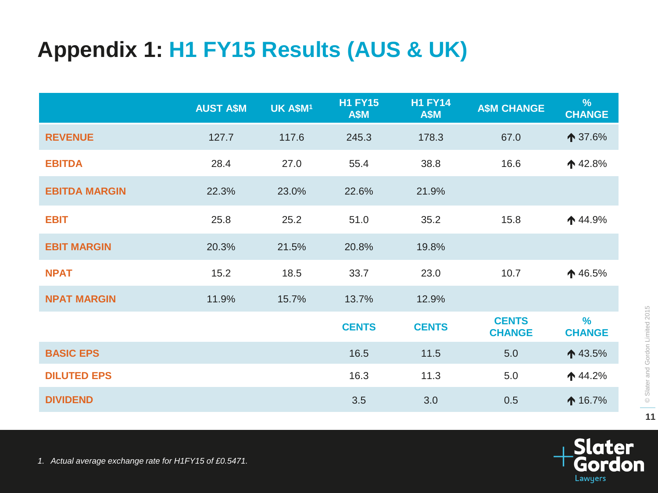# **Appendix 1: H1 FY15 Results (AUS & UK)**

|                      | <b>AUST A\$M</b> | UK A\$M <sup>1</sup> | <b>H1 FY15</b><br><b>A\$M</b> | <b>H1 FY14</b><br><b>A\$M</b> | <b>A\$M CHANGE</b>            | %<br><b>CHANGE</b> |
|----------------------|------------------|----------------------|-------------------------------|-------------------------------|-------------------------------|--------------------|
| <b>REVENUE</b>       | 127.7            | 117.6                | 245.3                         | 178.3                         | 67.0                          | ↑ 37.6%            |
| <b>EBITDA</b>        | 28.4             | 27.0                 | 55.4                          | 38.8                          | 16.6                          | $\spadesuit$ 42.8% |
| <b>EBITDA MARGIN</b> | 22.3%            | 23.0%                | 22.6%                         | 21.9%                         |                               |                    |
| <b>EBIT</b>          | 25.8             | 25.2                 | 51.0                          | 35.2                          | 15.8                          | $\spadesuit$ 44.9% |
| <b>EBIT MARGIN</b>   | 20.3%            | 21.5%                | 20.8%                         | 19.8%                         |                               |                    |
| <b>NPAT</b>          | 15.2             | 18.5                 | 33.7                          | 23.0                          | 10.7                          | $\spadesuit$ 46.5% |
| <b>NPAT MARGIN</b>   | 11.9%            | 15.7%                | 13.7%                         | 12.9%                         |                               |                    |
|                      |                  |                      | <b>CENTS</b>                  | <b>CENTS</b>                  | <b>CENTS</b><br><b>CHANGE</b> | %<br><b>CHANGE</b> |
| <b>BASIC EPS</b>     |                  |                      | 16.5                          | 11.5                          | 5.0                           | ↑ 43.5%            |
| <b>DILUTED EPS</b>   |                  |                      | 16.3                          | 11.3                          | 5.0                           | $\uparrow$ 44.2%   |
| <b>DIVIDEND</b>      |                  |                      | 3.5                           | 3.0                           | 0.5                           | $\spadesuit$ 16.7% |

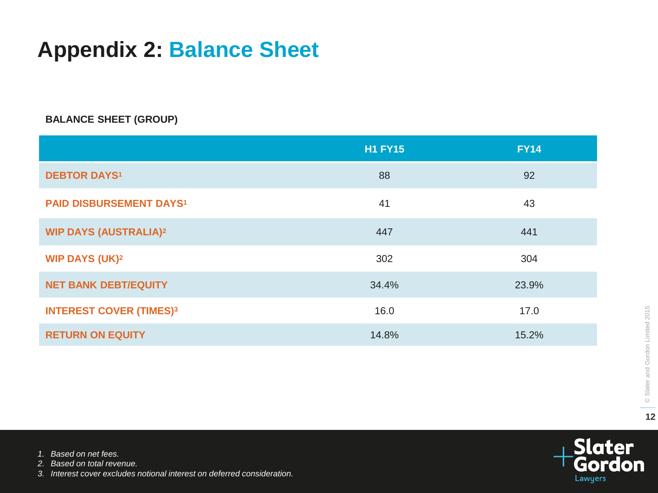### **Appendix 2: Balance Sheet**

#### **BALANCE SHEET (GROUP)**

|                                  | <b>H1 FY15</b> | <b>FY14</b> |
|----------------------------------|----------------|-------------|
| <b>DEBTOR DAYS<sup>1</sup></b>   | 88             | 92          |
| <b>PAID DISBURSEMENT DAYS1</b>   | 41             | 43          |
| <b>WIP DAYS (AUSTRALIA)2</b>     | 447            | 441         |
| <b>WIP DAYS (UK)<sup>2</sup></b> | 302            | 304         |
| <b>NET BANK DEBT/EQUITY</b>      | 34.4%          | 23.9%       |
| <b>INTEREST COVER (TIMES)3</b>   | 16.0           | 17.0        |
| <b>RETURN ON EQUITY</b>          | 14.8%          | 15.2%       |



*1. Based on net fees.*

*2. Based on total revenue.*

*3. Interest cover excludes notional interest on deferred consideration.*